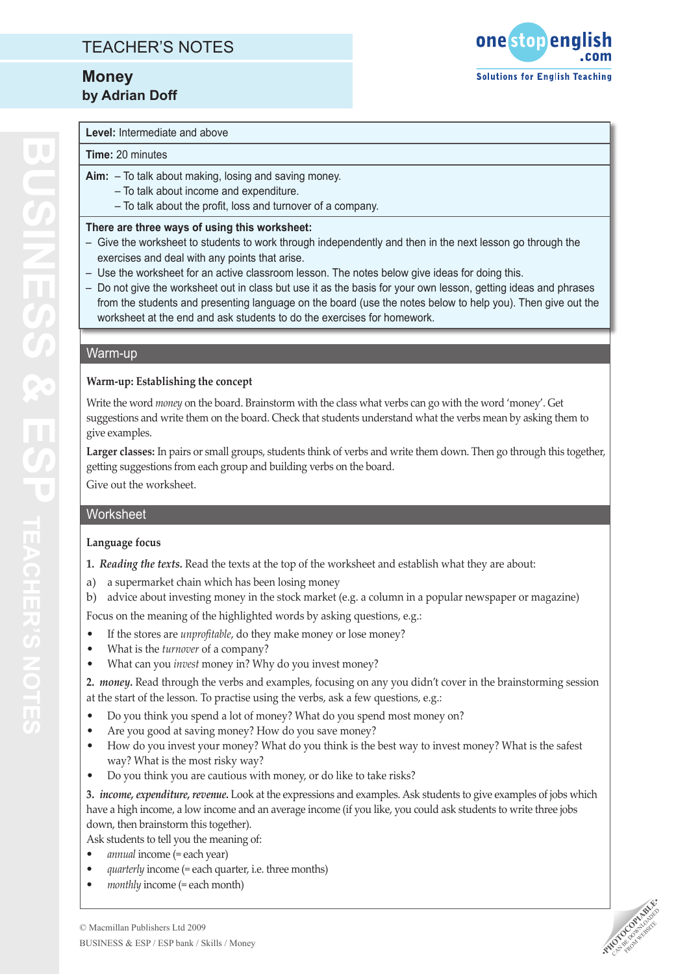# TEACHER'S NOTES

# **Money by Adrian Doff**



### **Level:** Intermediate and above

#### **Time:** 20 minutes

- **Aim:** To talk about making, losing and saving money.
	- To talk about income and expenditure.
	- To talk about the profit, loss and turnover of a company.

#### **There are three ways of using this worksheet:**

- Give the worksheet to students to work through independently and then in the next lesson go through the exercises and deal with any points that arise.
- Use the worksheet for an active classroom lesson. The notes below give ideas for doing this.
- Do not give the worksheet out in class but use it as the basis for your own lesson, getting ideas and phrases from the students and presenting language on the board (use the notes below to help you). Then give out the worksheet at the end and ask students to do the exercises for homework.

### Warm-up

## **Warm-up: Establishing the concept**

Write the word *money* on the board. Brainstorm with the class what verbs can go with the word 'money'. Get suggestions and write them on the board. Check that students understand what the verbs mean by asking them to give examples.

**Larger classes:** In pairs or small groups, students think of verbs and write them down. Then go through this together, getting suggestions from each group and building verbs on the board.

Give out the worksheet.

### **Worksheet**

### **Language focus**

- **1.** *Reading the texts.* Read the texts at the top of the worksheet and establish what they are about:
- a) a supermarket chain which has been losing money
- b) advice about investing money in the stock market (e.g. a column in a popular newspaper or magazine)

Focus on the meaning of the highlighted words by asking questions, e.g.:

- If the stores are *unprofitable*, do they make money or lose money? •
- What is the *turnover* of a company? •
- What can you *invest* money in? Why do you invest money? •

**2.** *money.* Read through the verbs and examples, focusing on any you didn't cover in the brainstorming session at the start of the lesson. To practise using the verbs, ask a few questions, e.g.:

- Do you think you spend a lot of money? What do you spend most money on? •
- Are you good at saving money? How do you save money? •
- How do you invest your money? What do you think is the best way to invest money? What is the safest way? What is the most risky way? •
- Do you think you are cautious with money, or do like to take risks? •

**3.** *income, expenditure, revenue.* Look at the expressions and examples. Ask students to give examples of jobs which have a high income, a low income and an average income (if you like, you could ask students to write three jobs down, then brainstorm this together).

Ask students to tell you the meaning of:

- *annual* income (= each year) *•*
- *quarterly* income (= each quarter, i.e. three months) *•*
- *monthly* income (= each month) *•*

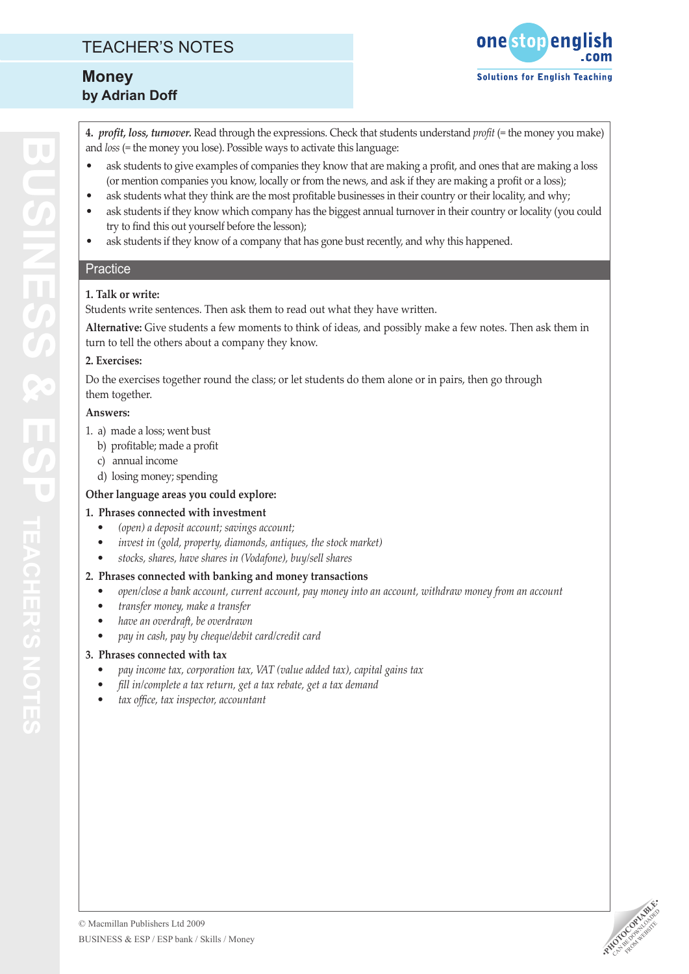# TEACHER'S NOTES

# **Money by Adrian Doff**



**4.** *profit, loss, turnover.* Read through the expressions. Check that students understand *profit* (= the money you make) and *loss* (= the money you lose). Possible ways to activate this language:

- ask students to give examples of companies they know that are making a profit, and ones that are making a loss (or mention companies you know, locally or from the news, and ask if they are making a profit or a loss); •
- ask students what they think are the most profitable businesses in their country or their locality, and why; •
- ask students if they know which company has the biggest annual turnover in their country or locality (you could try to find this out yourself before the lesson); •
- ask students if they know of a company that has gone bust recently, and why this happened. •

## **Practice**

## **1. Talk or write:**

Students write sentences. Then ask them to read out what they have written.

**Alternative:** Give students a few moments to think of ideas, and possibly make a few notes. Then ask them in turn to tell the others about a company they know.

#### **2. Exercises:**

Do the exercises together round the class; or let students do them alone or in pairs, then go through them together.

### **Answers:**

- 1. a) made a loss; went bust
	- b) profitable; made a profit
	- c) annual income
	- d) losing money; spending

## **Other language areas you could explore:**

### **1. Phrases connected with investment**

- *(open) a deposit account; savings account; •*
- *invest in (gold, property, diamonds, antiques, the stock market) •*
- *stocks, shares, have shares in (Vodafone), buy/sell shares •*

# **2. Phrases connected with banking and money transactions**

- *open/close a bank account, current account, pay money into an account, withdraw money from an account •*
- *transfer money, make a transfer •*
- *have an overdraft, be overdrawn •*
- *pay in cash, pay by cheque/debit card/credit card •*

# **3. Phrases connected with tax**

- *pay income tax, corporation tax, VAT (value added tax), capital gains tax •*
- *fill in/complete a tax return, get a tax rebate, get a tax demand •*
- *tax office, tax inspector, accountant •*